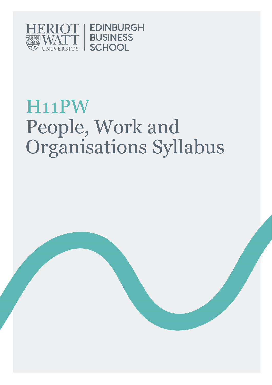

# H11PW People, Work and Organisations Syllabus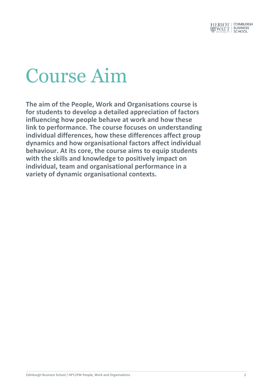

# Course Aim

**The aim of the People, Work and Organisations course is for students to develop a detailed appreciation of factors influencing how people behave at work and how these link to performance. The course focuses on understanding individual differences, how these differences affect group dynamics and how organisational factors affect individual behaviour. At its core, the course aims to equip students with the skills and knowledge to positively impact on individual, team and organisational performance in a variety of dynamic organisational contexts.**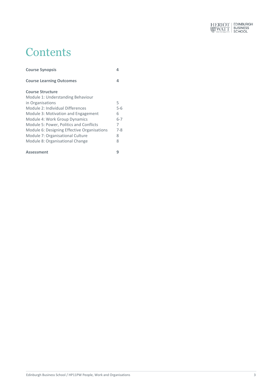

### **Contents**

| <b>Course Synopsis</b>                      |         |
|---------------------------------------------|---------|
| <b>Course Learning Outcomes</b>             | 4       |
| <b>Course Structure</b>                     |         |
| Module 1: Understanding Behaviour           |         |
| in Organisations                            | 5       |
| Module 2: Individual Differences            | $5 - 6$ |
| Module 3: Motivation and Engagement         | 6       |
| Module 4: Work Group Dynamics               | $6 - 7$ |
| Module 5: Power, Politics and Conflicts     | 7       |
| Module 6: Designing Effective Organisations | $7 - 8$ |
| Module 7: Organisational Culture            | 8       |
| Module 8: Organisational Change             | 8       |
| <b>Assessment</b>                           |         |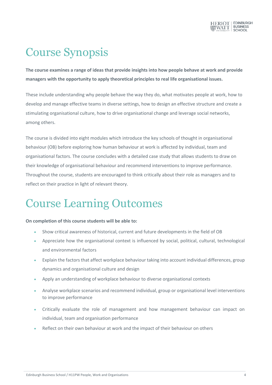

## Course Synopsis

**The course examines a range of ideas that provide insights into how people behave at work and provide managers with the opportunity to apply theoretical principles to real life organisational issues.** 

These include understanding why people behave the way they do, what motivates people at work, how to develop and manage effective teams in diverse settings, how to design an effective structure and create a stimulating organisational culture, how to drive organisational change and leverage social networks, among others.

The course is divided into eight modules which introduce the key schools of thought in organisational behaviour (OB) before exploring how human behaviour at work is affected by individual, team and organisational factors. The course concludes with a detailed case study that allows students to draw on their knowledge of organisational behaviour and recommend interventions to improve performance. Throughout the course, students are encouraged to think critically about their role as managers and to reflect on their practice in light of relevant theory.

## Course Learning Outcomes

#### **On completion of this course students will be able to:**

- Show critical awareness of historical, current and future developments in the field of OB
- Appreciate how the organisational context is influenced by social, political, cultural, technological and environmental factors
- Explain the factors that affect workplace behaviour taking into account individual differences, group dynamics and organisational culture and design
- Apply an understanding of workplace behaviour to diverse organisational contexts
- Analyse workplace scenarios and recommend individual, group or organisational level interventions to improve performance
- Critically evaluate the role of management and how management behaviour can impact on individual, team and organisation performance
- Reflect on their own behaviour at work and the impact of their behaviour on others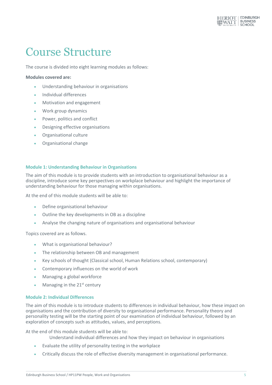

### Course Structure

The course is divided into eight learning modules as follows:

#### **Modules covered are:**

- Understanding behaviour in organisations
- Individual differences
- Motivation and engagement
- Work group dynamics
- Power, politics and conflict
- Designing effective organisations
- Organisational culture
- Organisational change

#### **Module 1: Understanding Behaviour in Organisations**

The aim of this module is to provide students with an introduction to organisational behaviour as a discipline, introduce some key perspectives on workplace behaviour and highlight the importance of understanding behaviour for those managing within organisations.

At the end of this module students will be able to:

- Define organisational behaviour
- Outline the key developments in OB as a discipline
- Analyse the changing nature of organisations and organisational behaviour

Topics covered are as follows.

- What is organisational behaviour?
- The relationship between OB and management
- Key schools of thought (Classical school, Human Relations school, contemporary)
- Contemporary influences on the world of work
- Managing a global workforce
- Managing in the  $21<sup>st</sup>$  century

#### **Module 2: Individual Differences**

The aim of this module is to introduce students to differences in individual behaviour, how these impact on organisations and the contribution of diversity to organisational performance. Personality theory and personality testing will be the starting point of our examination of individual behaviour, followed by an exploration of concepts such as attitudes, values, and perceptions.

At the end of this module students will be able to:

Understand individual differences and how they impact on behaviour in organisations

- Evaluate the utility of personality testing in the workplace
- Critically discuss the role of effective diversity management in organisational performance.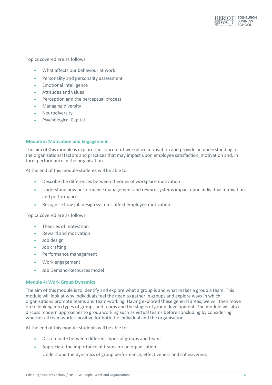

Topics covered are as follows:

- What affects our behaviour at work
- Personality and personality assessment
- **Emotional intelligence**
- Attitudes and values
- Perception and the perceptual process
- Managing diversity
- Neurodiversity
- Psychological Capital

#### **Module 3: Motivation and Engagement**

The aim of this module is explore the concept of workplace motivation and provide an understanding of the organisational factors and practices that may impact upon employee satisfaction, motivation and, in turn, performance in the organisation.

At the end of this module students will be able to:

- Describe the differences between theories of workplace motivation
- Understand how performance management and reward systems impact upon individual motivation and performance
- Recognise how job design systems affect employee motivation

Topics covered are as follows:

- Theories of motivation
- Reward and motivation
- Job design
- Job crafting
- Performance management
- Work engagement
- Job Demand-Resources model

#### **Module 4: Work Group Dynamics**

The aim of this module is to identify and explore what a group is and what makes a group a team. This module will look at why individuals feel the need to gather in groups and explore ways in which organisations promote teams and team-working. Having explored these general areas, we will then move on to looking into types of groups and teams and the stages of group development. The module will also discuss modern approaches to group working such as virtual teams before concluding by considering whether all team work is positive for both the individual and the organisation.

At the end of this module students will be able to:

- Discriminate between different types of groups and teams
- Appreciate the importance of teams for an organisation

Understand the dynamics of group performance, effectiveness and cohesiveness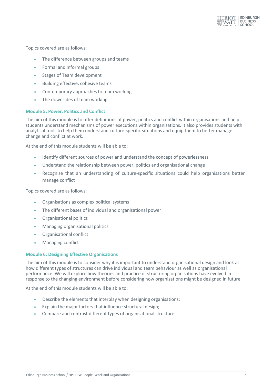

Topics covered are as follows:

- The difference between groups and teams
- Formal and Informal groups
- Stages of Team development
- Building effective, cohesive teams
- Contemporary approaches to team working
- The downsides of team working

#### **Module 5: Power, Politics and Conflict**

The aim of this module is to offer definitions of power, politics and conflict within organisations and help students understand mechanisms of power executions within organisations. It also provides students with analytical tools to help them understand culture-specific situations and equip them to better manage change and conflict at work.

At the end of this module students will be able to:

- Identify different sources of power and understand the concept of powerlessness
- Understand the relationship between power, politics and organisational change
- Recognise that an understanding of culture-specific situations could help organisations better manage conflict

Topics covered are as follows:

- Organisations as complex political systems
- The different bases of individual and organisational power
- Organisational politics
- Managing organisational politics
- Organisational conflict
- Managing conflict

#### **Module 6: Designing Effective Organisations**

The aim of this module is to consider why it is important to understand organisational design and look at how different types of structures can drive individual and team behaviour as well as organisational performance. We will explore how theories and practice of structuring organisations have evolved in response to the changing environment before considering how organisations might be designed in future.

At the end of this module students will be able to:

- Describe the elements that interplay when designing organisations;
- Explain the major factors that influence structural design;
- Compare and contrast different types of organisational structure.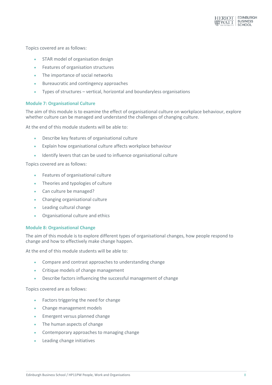

Topics covered are as follows:

- STAR model of organisation design
- Features of organisation structures
- The importance of social networks
- Bureaucratic and contingency approaches
- Types of structures vertical, horizontal and boundaryless organisations

#### **Module 7: Organisational Culture**

The aim of this module is to examine the effect of organisational culture on workplace behaviour, explore whether culture can be managed and understand the challenges of changing culture.

At the end of this module students will be able to:

- Describe key features of organisational culture
- Explain how organisational culture affects workplace behaviour
- Identify levers that can be used to influence organisational culture

Topics covered are as follows:

- Features of organisational culture
- Theories and typologies of culture
- Can culture be managed?
- Changing organisational culture
- Leading cultural change
- Organisational culture and ethics

#### **Module 8: Organisational Change**

The aim of this module is to explore different types of organisational changes, how people respond to change and how to effectively make change happen.

At the end of this module students will be able to:

- Compare and contrast approaches to understanding change
- Critique models of change management
- Describe factors influencing the successful management of change

Topics covered are as follows:

- **•** Factors triggering the need for change
- Change management models
- **Emergent versus planned change**
- The human aspects of change
- Contemporary approaches to managing change
- Leading change initiatives